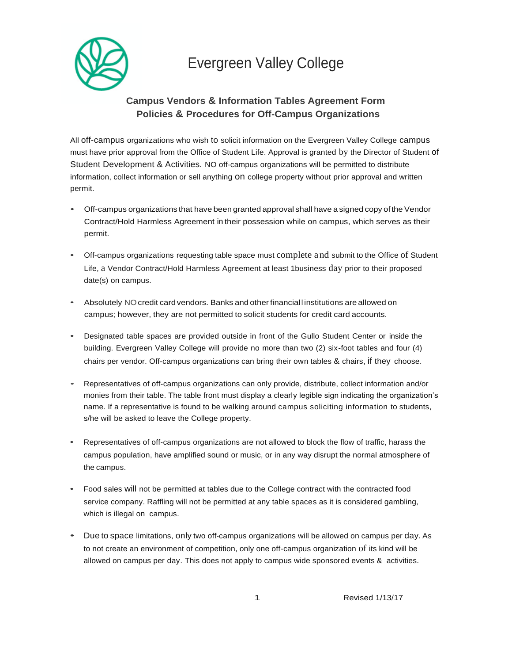

## Evergreen Valley College

## **Campus Vendors & Information Tables Agreement Form Policies & Procedures for Off-Campus Organizations**

All off-campus organizations who wish to solicit information on the Evergreen Valley College campus must have prior approval from the Office of Student Life. Approval is granted by the Director of Student of Student Development & Activities. NO off-campus organizations will be permitted to distribute information, collect information or sell anything on college property without prior approval and written permit.

- Off-campus organizations that have been granted approval shall have a signed copy of the Vendor Contract/Hold Harmless Agreement in their possession while on campus, which serves as their permit.
- Off-campus organizations requesting table space must complete and submit to the Office of Student Life, a Vendor Contract/Hold Harmless Agreement at least 1business day prior to their proposed date(s) on campus.
- Absolutely NOcredit cardvendors. Banks and otherfinanciall institutions are allowed on campus; however, they are not permitted to solicit students for credit card accounts.
- Designated table spaces are provided outside in front of the Gullo Student Center or inside the building. Evergreen Valley College will provide no more than two (2) six-foot tables and four (4) chairs per vendor. Off-campus organizations can bring their own tables & chairs, if they choose.
- Representatives of off-campus organizations can only provide, distribute, collect information and/or monies from their table. The table front must display a clearly legible sign indicating the organization's name. If a representative is found to be walking around campus soliciting information to students, s/he will be asked to leave the College property.
- Representatives of off-campus organizations are not allowed to block the flow of traffic, harass the campus population, have amplified sound or music, or in any way disrupt the normal atmosphere of the campus.
- Food sales will not be permitted at tables due to the College contract with the contracted food service company. Raffling will not be permitted at any table spaces as it is considered gambling, which is illegal on campus.
- Due to space limitations, only two off-campus organizations will be allowed on campus per day. As to not create an environment of competition, only one off-campus organization of its kind will be allowed on campus per day. This does not apply to campus wide sponsored events & activities.